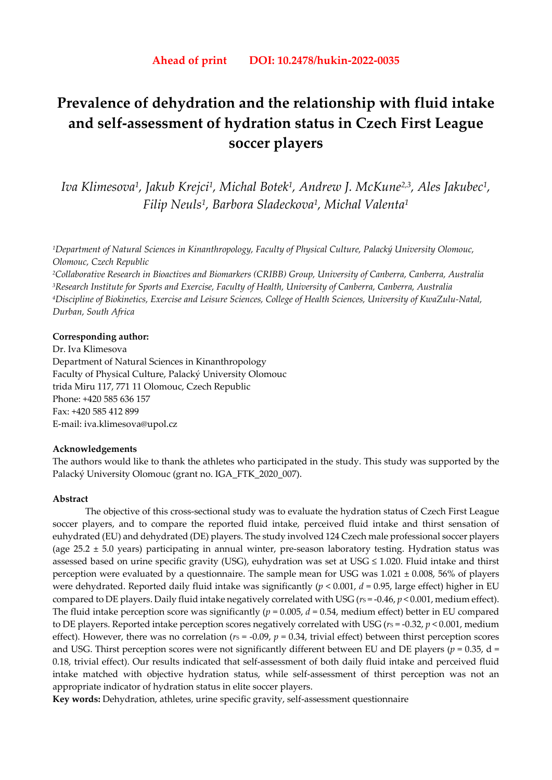# **Prevalence of dehydration and the relationship with fluid intake and self-assessment of hydration status in Czech First League soccer players**

*Iva Klimesova1, Jakub Krejci1, Michal Botek1, Andrew J. McKune2,3, Ales Jakubec1, Filip Neuls1, Barbora Sladeckova1, Michal Valenta1*

*1Department of Natural Sciences in Kinanthropology, Faculty of Physical Culture, Palacký University Olomouc, Olomouc, Czech Republic* 

*2Collaborative Research in Bioactives and Biomarkers (CRIBB) Group, University of Canberra, Canberra, Australia 3Research Institute for Sports and Exercise, Faculty of Health, University of Canberra, Canberra, Australia 4Discipline of Biokinetics, Exercise and Leisure Sciences, College of Health Sciences, University of KwaZulu-Natal, Durban, South Africa* 

#### **Corresponding author:**

Dr. Iva Klimesova Department of Natural Sciences in Kinanthropology Faculty of Physical Culture, Palacký University Olomouc trida Miru 117, 771 11 Olomouc, Czech Republic Phone: +420 585 636 157 Fax: +420 585 412 899 E-mail: iva.klimesova@upol.cz

#### **Acknowledgements**

The authors would like to thank the athletes who participated in the study. This study was supported by the Palacký University Olomouc (grant no. IGA\_FTK\_2020\_007).

#### **Abstract**

The objective of this cross-sectional study was to evaluate the hydration status of Czech First League soccer players, and to compare the reported fluid intake, perceived fluid intake and thirst sensation of euhydrated (EU) and dehydrated (DE) players. The study involved 124 Czech male professional soccer players (age  $25.2 \pm 5.0$  years) participating in annual winter, pre-season laboratory testing. Hydration status was assessed based on urine specific gravity (USG), euhydration was set at USG  $\leq$  1.020. Fluid intake and thirst perception were evaluated by a questionnaire. The sample mean for USG was  $1.021 \pm 0.008$ , 56% of players were dehydrated. Reported daily fluid intake was significantly (*p* < 0.001, *d* = 0.95, large effect) higher in EU compared to DE players. Daily fluid intake negatively correlated with USG ( $r<sub>S</sub> = -0.46$ ,  $p < 0.001$ , medium effect). The fluid intake perception score was significantly ( $p = 0.005$ ,  $d = 0.54$ , medium effect) better in EU compared to DE players. Reported intake perception scores negatively correlated with USG ( $r_s$  = -0.32,  $p$  < 0.001, medium effect). However, there was no correlation ( $r<sub>S</sub> = -0.09$ ,  $p = 0.34$ , trivial effect) between thirst perception scores and USG. Thirst perception scores were not significantly different between EU and DE players ( $p = 0.35$ , d = 0.18, trivial effect). Our results indicated that self-assessment of both daily fluid intake and perceived fluid intake matched with objective hydration status, while self-assessment of thirst perception was not an appropriate indicator of hydration status in elite soccer players.

**Key words:** Dehydration, athletes, urine specific gravity, self-assessment questionnaire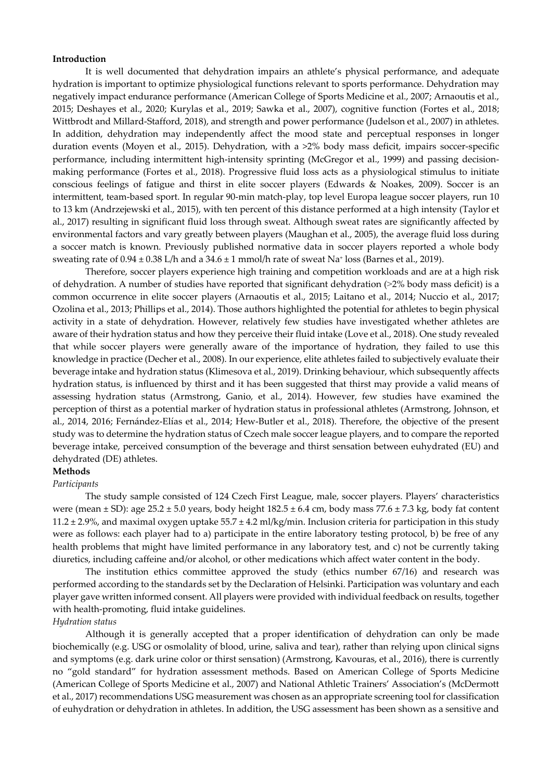#### **Introduction**

It is well documented that dehydration impairs an athlete's physical performance, and adequate hydration is important to optimize physiological functions relevant to sports performance. Dehydration may negatively impact endurance performance (American College of Sports Medicine et al., 2007; Arnaoutis et al., 2015; Deshayes et al., 2020; Kurylas et al., 2019; Sawka et al., 2007), cognitive function (Fortes et al., 2018; Wittbrodt and Millard-Stafford, 2018), and strength and power performance (Judelson et al., 2007) in athletes. In addition, dehydration may independently affect the mood state and perceptual responses in longer duration events (Moyen et al., 2015). Dehydration, with a >2% body mass deficit, impairs soccer-specific performance, including intermittent high-intensity sprinting (McGregor et al., 1999) and passing decisionmaking performance (Fortes et al., 2018). Progressive fluid loss acts as a physiological stimulus to initiate conscious feelings of fatigue and thirst in elite soccer players (Edwards & Noakes, 2009). Soccer is an intermittent, team-based sport. In regular 90-min match-play, top level Europa league soccer players, run 10 to 13 km (Andrzejewski et al., 2015), with ten percent of this distance performed at a high intensity (Taylor et al., 2017) resulting in significant fluid loss through sweat. Although sweat rates are significantly affected by environmental factors and vary greatly between players (Maughan et al., 2005), the average fluid loss during a soccer match is known. Previously published normative data in soccer players reported a whole body sweating rate of  $0.94 \pm 0.38$  L/h and a  $34.6 \pm 1$  mmol/h rate of sweat Na<sup>+</sup> loss (Barnes et al., 2019).

Therefore, soccer players experience high training and competition workloads and are at a high risk of dehydration. A number of studies have reported that significant dehydration (˃2% body mass deficit) is a common occurrence in elite soccer players (Arnaoutis et al., 2015; Laitano et al., 2014; Nuccio et al., 2017; Ozolina et al., 2013; Phillips et al., 2014). Those authors highlighted the potential for athletes to begin physical activity in a state of dehydration. However, relatively few studies have investigated whether athletes are aware of their hydration status and how they perceive their fluid intake (Love et al., 2018). One study revealed that while soccer players were generally aware of the importance of hydration, they failed to use this knowledge in practice (Decher et al., 2008). In our experience, elite athletes failed to subjectively evaluate their beverage intake and hydration status (Klimesova et al., 2019). Drinking behaviour, which subsequently affects hydration status, is influenced by thirst and it has been suggested that thirst may provide a valid means of assessing hydration status (Armstrong, Ganio, et al., 2014). However, few studies have examined the perception of thirst as a potential marker of hydration status in professional athletes (Armstrong, Johnson, et al., 2014, 2016; Fernández-Elías et al., 2014; Hew-Butler et al., 2018). Therefore, the objective of the present study was to determine the hydration status of Czech male soccer league players, and to compare the reported beverage intake, perceived consumption of the beverage and thirst sensation between euhydrated (EU) and dehydrated (DE) athletes.

## **Methods**

#### *Participants*

The study sample consisted of 124 Czech First League, male, soccer players. Players' characteristics were (mean  $\pm$  SD): age 25.2  $\pm$  5.0 years, body height 182.5  $\pm$  6.4 cm, body mass 77.6  $\pm$  7.3 kg, body fat content 11.2  $\pm$  2.9%, and maximal oxygen uptake 55.7  $\pm$  4.2 ml/kg/min. Inclusion criteria for participation in this study were as follows: each player had to a) participate in the entire laboratory testing protocol, b) be free of any health problems that might have limited performance in any laboratory test, and c) not be currently taking diuretics, including caffeine and/or alcohol, or other medications which affect water content in the body.

The institution ethics committee approved the study (ethics number 67/16) and research was performed according to the standards set by the Declaration of Helsinki. Participation was voluntary and each player gave written informed consent. All players were provided with individual feedback on results, together with health-promoting, fluid intake guidelines.

#### *Hydration status*

Although it is generally accepted that a proper identification of dehydration can only be made biochemically (e.g. USG or osmolality of blood, urine, saliva and tear), rather than relying upon clinical signs and symptoms (e.g. dark urine color or thirst sensation) (Armstrong, Kavouras, et al., 2016), there is currently no "gold standard" for hydration assessment methods. Based on American College of Sports Medicine (American College of Sports Medicine et al., 2007) and National Athletic Trainers' Association's (McDermott et al., 2017) recommendations USG measurement was chosen as an appropriate screening tool for classification of euhydration or dehydration in athletes. In addition, the USG assessment has been shown as a sensitive and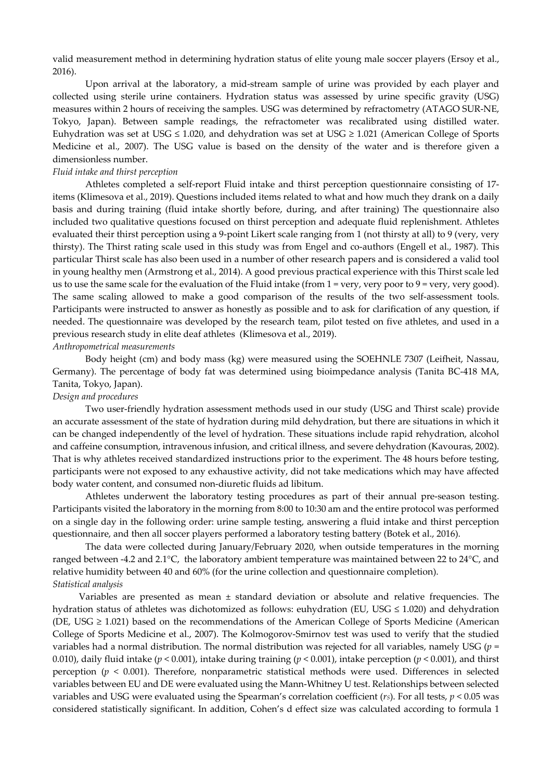valid measurement method in determining hydration status of elite young male soccer players (Ersoy et al., 2016).

Upon arrival at the laboratory, a mid-stream sample of urine was provided by each player and collected using sterile urine containers. Hydration status was assessed by urine specific gravity (USG) measures within 2 hours of receiving the samples. USG was determined by refractometry (ATAGO SUR-NE, Tokyo, Japan). Between sample readings, the refractometer was recalibrated using distilled water. Euhydration was set at USG  $\leq$  1.020, and dehydration was set at USG  $\geq$  1.021 (American College of Sports Medicine et al., 2007). The USG value is based on the density of the water and is therefore given a dimensionless number.

#### *Fluid intake and thirst perception*

Athletes completed a self-report Fluid intake and thirst perception questionnaire consisting of 17 items (Klimesova et al., 2019). Questions included items related to what and how much they drank on a daily basis and during training (fluid intake shortly before, during, and after training) The questionnaire also included two qualitative questions focused on thirst perception and adequate fluid replenishment. Athletes evaluated their thirst perception using a 9-point Likert scale ranging from 1 (not thirsty at all) to 9 (very, very thirsty). The Thirst rating scale used in this study was from Engel and co-authors (Engell et al., 1987). This particular Thirst scale has also been used in a number of other research papers and is considered a valid tool in young healthy men (Armstrong et al., 2014). A good previous practical experience with this Thirst scale led us to use the same scale for the evaluation of the Fluid intake (from  $1 = \text{very, very poor to } 9 = \text{very, very good}$ ). The same scaling allowed to make a good comparison of the results of the two self-assessment tools. Participants were instructed to answer as honestly as possible and to ask for clarification of any question, if needed. The questionnaire was developed by the research team, pilot tested on five athletes, and used in a previous research study in elite deaf athletes (Klimesova et al., 2019).

#### *Anthropometrical measurements*

Body height (cm) and body mass (kg) were measured using the SOEHNLE 7307 (Leifheit, Nassau, Germany). The percentage of body fat was determined using bioimpedance analysis (Tanita BC-418 MA, Tanita, Tokyo, Japan).

#### *Design and procedures*

Two user-friendly hydration assessment methods used in our study (USG and Thirst scale) provide an accurate assessment of the state of hydration during mild dehydration, but there are situations in which it can be changed independently of the level of hydration. These situations include rapid rehydration, alcohol and caffeine consumption, intravenous infusion, and critical illness, and severe dehydration (Kavouras, 2002). That is why athletes received standardized instructions prior to the experiment. The 48 hours before testing, participants were not exposed to any exhaustive activity, did not take medications which may have affected body water content, and consumed non-diuretic fluids ad libitum.

Athletes underwent the laboratory testing procedures as part of their annual pre-season testing. Participants visited the laboratory in the morning from 8:00 to 10:30 am and the entire protocol was performed on a single day in the following order: urine sample testing, answering a fluid intake and thirst perception questionnaire, and then all soccer players performed a laboratory testing battery (Botek et al., 2016).

The data were collected during January/February 2020, when outside temperatures in the morning ranged between -4.2 and 2.1°C, the laboratory ambient temperature was maintained between 22 to 24°C, and relative humidity between 40 and 60% (for the urine collection and questionnaire completion). *Statistical analysis* 

Variables are presented as mean  $\pm$  standard deviation or absolute and relative frequencies. The hydration status of athletes was dichotomized as follows: euhydration (EU, USG ≤ 1.020) and dehydration (DE, USG  $\geq$  1.021) based on the recommendations of the American College of Sports Medicine (American College of Sports Medicine et al., 2007). The Kolmogorov-Smirnov test was used to verify that the studied variables had a normal distribution. The normal distribution was rejected for all variables, namely USG (*p* = 0.010), daily fluid intake ( $p < 0.001$ ), intake during training ( $p < 0.001$ ), intake perception ( $p < 0.001$ ), and thirst perception (*p* < 0.001). Therefore, nonparametric statistical methods were used. Differences in selected variables between EU and DE were evaluated using the Mann-Whitney U test. Relationships between selected variables and USG were evaluated using the Spearman's correlation coefficient  $(rs)$ . For all tests,  $p < 0.05$  was considered statistically significant. In addition, Cohen's d effect size was calculated according to formula 1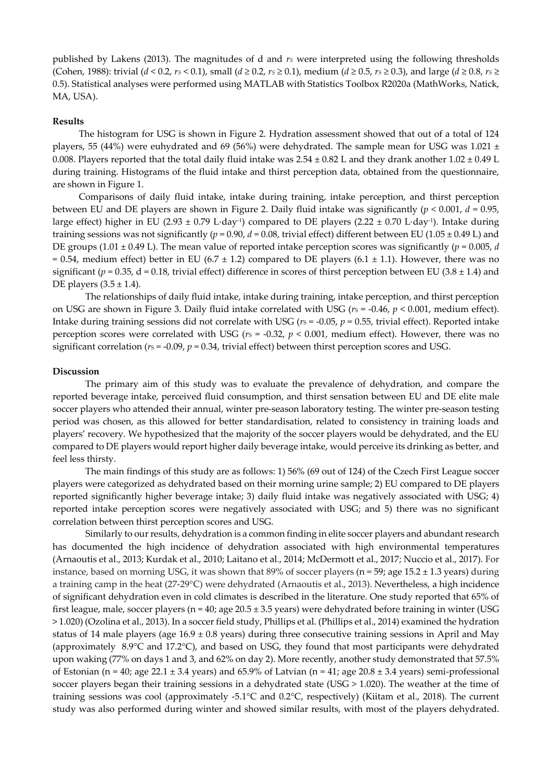published by Lakens (2013). The magnitudes of d and *rs* were interpreted using the following thresholds (Cohen, 1988): trivial ( $d < 0.2$ ,  $rs < 0.1$ ), small ( $d \ge 0.2$ ,  $rs \ge 0.1$ ), medium ( $d \ge 0.5$ ,  $rs \ge 0.3$ ), and large ( $d \ge 0.8$ ,  $rs \ge 0.3$ ) 0.5). Statistical analyses were performed using MATLAB with Statistics Toolbox R2020a (MathWorks, Natick, MA, USA).

#### **Results**

The histogram for USG is shown in Figure 2. Hydration assessment showed that out of a total of 124 players, 55 (44%) were euhydrated and 69 (56%) were dehydrated. The sample mean for USG was  $1.021 \pm$ 0.008. Players reported that the total daily fluid intake was  $2.54 \pm 0.82$  L and they drank another  $1.02 \pm 0.49$  L during training. Histograms of the fluid intake and thirst perception data, obtained from the questionnaire, are shown in Figure 1.

Comparisons of daily fluid intake, intake during training, intake perception, and thirst perception between EU and DE players are shown in Figure 2. Daily fluid intake was significantly (*p* < 0.001, *d* = 0.95, large effect) higher in EU (2.93 ± 0.79 L⋅day-1) compared to DE players (2.22 ± 0.70 L⋅day-1). Intake during training sessions was not significantly ( $p = 0.90$ ,  $d = 0.08$ , trivial effect) different between EU (1.05  $\pm$  0.49 L) and DE groups (1.01  $\pm$  0.49 L). The mean value of reported intake perception scores was significantly ( $p = 0.005$ , *d* = 0.54, medium effect) better in EU (6.7  $\pm$  1.2) compared to DE players (6.1  $\pm$  1.1). However, there was no significant ( $p = 0.35$ , d = 0.18, trivial effect) difference in scores of thirst perception between EU (3.8  $\pm$  1.4) and DE players  $(3.5 \pm 1.4)$ .

The relationships of daily fluid intake, intake during training, intake perception, and thirst perception on USG are shown in Figure 3. Daily fluid intake correlated with USG ( $r<sub>S</sub> = -0.46$ ,  $p < 0.001$ , medium effect). Intake during training sessions did not correlate with USG ( $r<sub>S</sub> = -0.05$ ,  $p = 0.55$ , trivial effect). Reported intake perception scores were correlated with USG ( $r<sub>S</sub> = -0.32$ ,  $p < 0.001$ , medium effect). However, there was no significant correlation ( $r<sub>S</sub> = -0.09$ ,  $p = 0.34$ , trivial effect) between thirst perception scores and USG.

#### **Discussion**

The primary aim of this study was to evaluate the prevalence of dehydration, and compare the reported beverage intake, perceived fluid consumption, and thirst sensation between EU and DE elite male soccer players who attended their annual, winter pre-season laboratory testing. The winter pre-season testing period was chosen, as this allowed for better standardisation, related to consistency in training loads and players' recovery. We hypothesized that the majority of the soccer players would be dehydrated, and the EU compared to DE players would report higher daily beverage intake, would perceive its drinking as better, and feel less thirsty.

The main findings of this study are as follows: 1) 56% (69 out of 124) of the Czech First League soccer players were categorized as dehydrated based on their morning urine sample; 2) EU compared to DE players reported significantly higher beverage intake; 3) daily fluid intake was negatively associated with USG; 4) reported intake perception scores were negatively associated with USG; and 5) there was no significant correlation between thirst perception scores and USG.

Similarly to our results, dehydration is a common finding in elite soccer players and abundant research has documented the high incidence of dehydration associated with high environmental temperatures (Arnaoutis et al., 2013; Kurdak et al., 2010; Laitano et al., 2014; McDermott et al., 2017; Nuccio et al., 2017). For instance, based on morning USG, it was shown that 89% of soccer players (n = 59; age 15.2 ± 1.3 years) during a training camp in the heat (27-29°C) were dehydrated (Arnaoutis et al., 2013). Nevertheless, a high incidence of significant dehydration even in cold climates is described in the literature. One study reported that 65% of first league, male, soccer players ( $n = 40$ ; age  $20.5 \pm 3.5$  years) were dehydrated before training in winter (USG > 1.020) (Ozolina et al., 2013). In a soccer field study, Phillips et al. (Phillips et al., 2014) examined the hydration status of 14 male players (age  $16.9 \pm 0.8$  years) during three consecutive training sessions in April and May (approximately 8.9°C and 17.2°C), and based on USG, they found that most participants were dehydrated upon waking (77% on days 1 and 3, and 62% on day 2). More recently, another study demonstrated that 57.5% of Estonian (n = 40; age 22.1  $\pm$  3.4 years) and 65.9% of Latvian (n = 41; age 20.8  $\pm$  3.4 years) semi-professional soccer players began their training sessions in a dehydrated state (USG > 1.020). The weather at the time of training sessions was cool (approximately -5.1°C and 0.2°C, respectively) (Kiitam et al., 2018). The current study was also performed during winter and showed similar results, with most of the players dehydrated.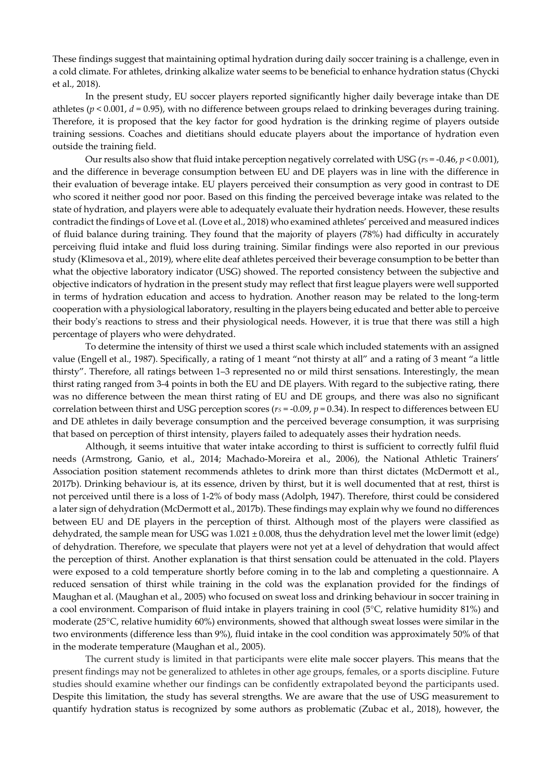These findings suggest that maintaining optimal hydration during daily soccer training is a challenge, even in a cold climate. For athletes, drinking alkalize water seems to be beneficial to enhance hydration status (Chycki et al., 2018).

In the present study, EU soccer players reported significantly higher daily beverage intake than DE athletes ( $p < 0.001$ ,  $d = 0.95$ ), with no difference between groups relaed to drinking beverages during training. Therefore, it is proposed that the key factor for good hydration is the drinking regime of players outside training sessions. Coaches and dietitians should educate players about the importance of hydration even outside the training field.

Our results also show that fluid intake perception negatively correlated with USG ( $r_s$  = -0.46,  $p$  < 0.001), and the difference in beverage consumption between EU and DE players was in line with the difference in their evaluation of beverage intake. EU players perceived their consumption as very good in contrast to DE who scored it neither good nor poor. Based on this finding the perceived beverage intake was related to the state of hydration, and players were able to adequately evaluate their hydration needs. However, these results contradict the findings of Love et al. (Love et al., 2018) who examined athletes' perceived and measured indices of fluid balance during training. They found that the majority of players (78%) had difficulty in accurately perceiving fluid intake and fluid loss during training. Similar findings were also reported in our previous study (Klimesova et al., 2019), where elite deaf athletes perceived their beverage consumption to be better than what the objective laboratory indicator (USG) showed. The reported consistency between the subjective and objective indicators of hydration in the present study may reflect that first league players were well supported in terms of hydration education and access to hydration. Another reason may be related to the long-term cooperation with a physiological laboratory, resulting in the players being educated and better able to perceive their body's reactions to stress and their physiological needs. However, it is true that there was still a high percentage of players who were dehydrated.

To determine the intensity of thirst we used a thirst scale which included statements with an assigned value (Engell et al., 1987). Specifically, a rating of 1 meant "not thirsty at all" and a rating of 3 meant "a little thirsty". Therefore, all ratings between 1–3 represented no or mild thirst sensations. Interestingly, the mean thirst rating ranged from 3-4 points in both the EU and DE players. With regard to the subjective rating, there was no difference between the mean thirst rating of EU and DE groups, and there was also no significant correlation between thirst and USG perception scores ( $rs = -0.09$ ,  $p = 0.34$ ). In respect to differences between EU and DE athletes in daily beverage consumption and the perceived beverage consumption, it was surprising that based on perception of thirst intensity, players failed to adequately asses their hydration needs.

Although, it seems intuitive that water intake according to thirst is sufficient to correctly fulfil fluid needs (Armstrong, Ganio, et al., 2014; Machado-Moreira et al., 2006), the National Athletic Trainers' Association position statement recommends athletes to drink more than thirst dictates (McDermott et al., 2017b). Drinking behaviour is, at its essence, driven by thirst, but it is well documented that at rest, thirst is not perceived until there is a loss of 1-2% of body mass (Adolph, 1947). Therefore, thirst could be considered a later sign of dehydration (McDermott et al., 2017b). These findings may explain why we found no differences between EU and DE players in the perception of thirst. Although most of the players were classified as dehydrated, the sample mean for USG was  $1.021 \pm 0.008$ , thus the dehydration level met the lower limit (edge) of dehydration. Therefore, we speculate that players were not yet at a level of dehydration that would affect the perception of thirst. Another explanation is that thirst sensation could be attenuated in the cold. Players were exposed to a cold temperature shortly before coming in to the lab and completing a questionnaire. A reduced sensation of thirst while training in the cold was the explanation provided for the findings of Maughan et al. (Maughan et al., 2005) who focused on sweat loss and drinking behaviour in soccer training in a cool environment. Comparison of fluid intake in players training in cool (5°C, relative humidity 81%) and moderate (25°C, relative humidity 60%) environments, showed that although sweat losses were similar in the two environments (difference less than 9%), fluid intake in the cool condition was approximately 50% of that in the moderate temperature (Maughan et al., 2005).

The current study is limited in that participants were elite male soccer players. This means that the present findings may not be generalized to athletes in other age groups, females, or a sports discipline. Future studies should examine whether our findings can be confidently extrapolated beyond the participants used. Despite this limitation, the study has several strengths. We are aware that the use of USG measurement to quantify hydration status is recognized by some authors as problematic (Zubac et al., 2018), however, the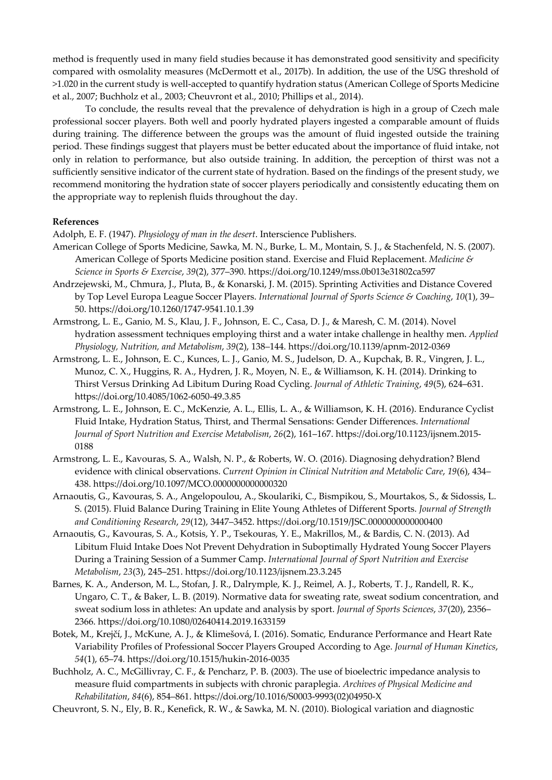method is frequently used in many field studies because it has demonstrated good sensitivity and specificity compared with osmolality measures (McDermott et al., 2017b). In addition, the use of the USG threshold of >1.020 in the current study is well-accepted to quantify hydration status (American College of Sports Medicine et al., 2007; Buchholz et al., 2003; Cheuvront et al., 2010; Phillips et al., 2014).

To conclude, the results reveal that the prevalence of dehydration is high in a group of Czech male professional soccer players. Both well and poorly hydrated players ingested a comparable amount of fluids during training. The difference between the groups was the amount of fluid ingested outside the training period. These findings suggest that players must be better educated about the importance of fluid intake, not only in relation to performance, but also outside training. In addition, the perception of thirst was not a sufficiently sensitive indicator of the current state of hydration. Based on the findings of the present study, we recommend monitoring the hydration state of soccer players periodically and consistently educating them on the appropriate way to replenish fluids throughout the day.

#### **References**

Adolph, E. F. (1947). *Physiology of man in the desert*. Interscience Publishers.

- American College of Sports Medicine, Sawka, M. N., Burke, L. M., Montain, S. J., & Stachenfeld, N. S. (2007). American College of Sports Medicine position stand. Exercise and Fluid Replacement. *Medicine & Science in Sports & Exercise*, *39*(2), 377–390. https://doi.org/10.1249/mss.0b013e31802ca597
- Andrzejewski, M., Chmura, J., Pluta, B., & Konarski, J. M. (2015). Sprinting Activities and Distance Covered by Top Level Europa League Soccer Players. *International Journal of Sports Science & Coaching*, *10*(1), 39– 50. https://doi.org/10.1260/1747-9541.10.1.39
- Armstrong, L. E., Ganio, M. S., Klau, J. F., Johnson, E. C., Casa, D. J., & Maresh, C. M. (2014). Novel hydration assessment techniques employing thirst and a water intake challenge in healthy men. *Applied Physiology, Nutrition, and Metabolism*, *39*(2), 138–144. https://doi.org/10.1139/apnm-2012-0369
- Armstrong, L. E., Johnson, E. C., Kunces, L. J., Ganio, M. S., Judelson, D. A., Kupchak, B. R., Vingren, J. L., Munoz, C. X., Huggins, R. A., Hydren, J. R., Moyen, N. E., & Williamson, K. H. (2014). Drinking to Thirst Versus Drinking Ad Libitum During Road Cycling. *Journal of Athletic Training*, *49*(5), 624–631. https://doi.org/10.4085/1062-6050-49.3.85
- Armstrong, L. E., Johnson, E. C., McKenzie, A. L., Ellis, L. A., & Williamson, K. H. (2016). Endurance Cyclist Fluid Intake, Hydration Status, Thirst, and Thermal Sensations: Gender Differences. *International Journal of Sport Nutrition and Exercise Metabolism*, *26*(2), 161–167. https://doi.org/10.1123/ijsnem.2015- 0188
- Armstrong, L. E., Kavouras, S. A., Walsh, N. P., & Roberts, W. O. (2016). Diagnosing dehydration? Blend evidence with clinical observations. *Current Opinion in Clinical Nutrition and Metabolic Care*, *19*(6), 434– 438. https://doi.org/10.1097/MCO.0000000000000320
- Arnaoutis, G., Kavouras, S. A., Angelopoulou, A., Skoulariki, C., Bismpikou, S., Mourtakos, S., & Sidossis, L. S. (2015). Fluid Balance During Training in Elite Young Athletes of Different Sports. *Journal of Strength and Conditioning Research*, *29*(12), 3447–3452. https://doi.org/10.1519/JSC.0000000000000400
- Arnaoutis, G., Kavouras, S. A., Kotsis, Y. P., Tsekouras, Y. E., Makrillos, M., & Bardis, C. N. (2013). Ad Libitum Fluid Intake Does Not Prevent Dehydration in Suboptimally Hydrated Young Soccer Players During a Training Session of a Summer Camp. *International Journal of Sport Nutrition and Exercise Metabolism*, *23*(3), 245–251. https://doi.org/10.1123/ijsnem.23.3.245
- Barnes, K. A., Anderson, M. L., Stofan, J. R., Dalrymple, K. J., Reimel, A. J., Roberts, T. J., Randell, R. K., Ungaro, C. T., & Baker, L. B. (2019). Normative data for sweating rate, sweat sodium concentration, and sweat sodium loss in athletes: An update and analysis by sport. *Journal of Sports Sciences*, *37*(20), 2356– 2366. https://doi.org/10.1080/02640414.2019.1633159
- Botek, M., Krejčí, J., McKune, A. J., & Klimešová, I. (2016). Somatic, Endurance Performance and Heart Rate Variability Profiles of Professional Soccer Players Grouped According to Age. *Journal of Human Kinetics*, *54*(1), 65–74. https://doi.org/10.1515/hukin-2016-0035
- Buchholz, A. C., McGillivray, C. F., & Pencharz, P. B. (2003). The use of bioelectric impedance analysis to measure fluid compartments in subjects with chronic paraplegia. *Archives of Physical Medicine and Rehabilitation*, *84*(6), 854–861. https://doi.org/10.1016/S0003-9993(02)04950-X
- Cheuvront, S. N., Ely, B. R., Kenefick, R. W., & Sawka, M. N. (2010). Biological variation and diagnostic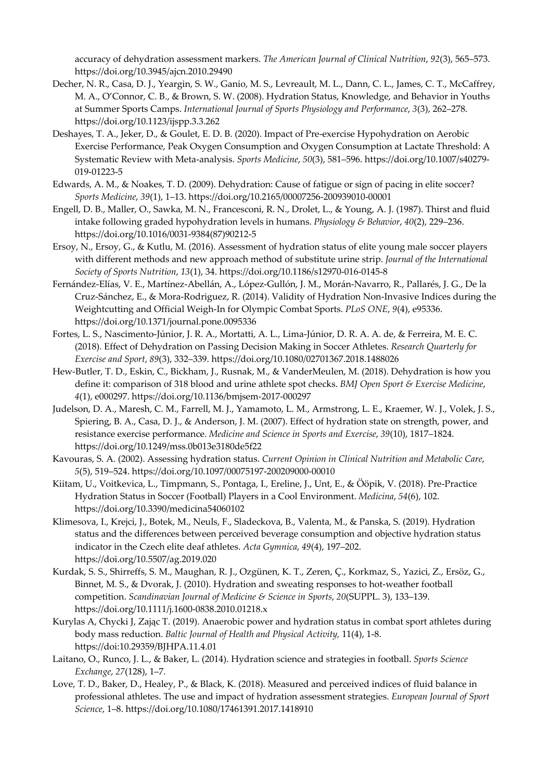accuracy of dehydration assessment markers. *The American Journal of Clinical Nutrition*, *92*(3), 565–573. https://doi.org/10.3945/ajcn.2010.29490

- Decher, N. R., Casa, D. J., Yeargin, S. W., Ganio, M. S., Levreault, M. L., Dann, C. L., James, C. T., McCaffrey, M. A., O'Connor, C. B., & Brown, S. W. (2008). Hydration Status, Knowledge, and Behavior in Youths at Summer Sports Camps. *International Journal of Sports Physiology and Performance*, *3*(3), 262–278. https://doi.org/10.1123/ijspp.3.3.262
- Deshayes, T. A., Jeker, D., & Goulet, E. D. B. (2020). Impact of Pre-exercise Hypohydration on Aerobic Exercise Performance, Peak Oxygen Consumption and Oxygen Consumption at Lactate Threshold: A Systematic Review with Meta-analysis. *Sports Medicine*, *50*(3), 581–596. https://doi.org/10.1007/s40279- 019-01223-5
- Edwards, A. M., & Noakes, T. D. (2009). Dehydration: Cause of fatigue or sign of pacing in elite soccer? *Sports Medicine*, *39*(1), 1–13. https://doi.org/10.2165/00007256-200939010-00001
- Engell, D. B., Maller, O., Sawka, M. N., Francesconi, R. N., Drolet, L., & Young, A. J. (1987). Thirst and fluid intake following graded hypohydration levels in humans. *Physiology & Behavior*, *40*(2), 229–236. https://doi.org/10.1016/0031-9384(87)90212-5
- Ersoy, N., Ersoy, G., & Kutlu, M. (2016). Assessment of hydration status of elite young male soccer players with different methods and new approach method of substitute urine strip. *Journal of the International Society of Sports Nutrition*, *13*(1), 34. https://doi.org/10.1186/s12970-016-0145-8
- Fernández-Elías, V. E., Martínez-Abellán, A., López-Gullón, J. M., Morán-Navarro, R., Pallarés, J. G., De la Cruz-Sánchez, E., & Mora-Rodriguez, R. (2014). Validity of Hydration Non-Invasive Indices during the Weightcutting and Official Weigh-In for Olympic Combat Sports. *PLoS ONE*, *9*(4), e95336. https://doi.org/10.1371/journal.pone.0095336
- Fortes, L. S., Nascimento-Júnior, J. R. A., Mortatti, A. L., Lima-Júnior, D. R. A. A. de, & Ferreira, M. E. C. (2018). Effect of Dehydration on Passing Decision Making in Soccer Athletes. *Research Quarterly for Exercise and Sport*, *89*(3), 332–339. https://doi.org/10.1080/02701367.2018.1488026
- Hew-Butler, T. D., Eskin, C., Bickham, J., Rusnak, M., & VanderMeulen, M. (2018). Dehydration is how you define it: comparison of 318 blood and urine athlete spot checks. *BMJ Open Sport & Exercise Medicine*, *4*(1), e000297. https://doi.org/10.1136/bmjsem-2017-000297
- Judelson, D. A., Maresh, C. M., Farrell, M. J., Yamamoto, L. M., Armstrong, L. E., Kraemer, W. J., Volek, J. S., Spiering, B. A., Casa, D. J., & Anderson, J. M. (2007). Effect of hydration state on strength, power, and resistance exercise performance. *Medicine and Science in Sports and Exercise*, *39*(10), 1817–1824. https://doi.org/10.1249/mss.0b013e3180de5f22
- Kavouras, S. A. (2002). Assessing hydration status. *Current Opinion in Clinical Nutrition and Metabolic Care*, *5*(5), 519–524. https://doi.org/10.1097/00075197-200209000-00010
- Kiitam, U., Voitkevica, L., Timpmann, S., Pontaga, I., Ereline, J., Unt, E., & Ööpik, V. (2018). Pre-Practice Hydration Status in Soccer (Football) Players in a Cool Environment. *Medicina*, *54*(6), 102. https://doi.org/10.3390/medicina54060102
- Klimesova, I., Krejci, J., Botek, M., Neuls, F., Sladeckova, B., Valenta, M., & Panska, S. (2019). Hydration status and the differences between perceived beverage consumption and objective hydration status indicator in the Czech elite deaf athletes. *Acta Gymnica*, *49*(4), 197–202. https://doi.org/10.5507/ag.2019.020
- Kurdak, S. S., Shirreffs, S. M., Maughan, R. J., Ozgünen, K. T., Zeren, Ç., Korkmaz, S., Yazici, Z., Ersöz, G., Binnet, M. S., & Dvorak, J. (2010). Hydration and sweating responses to hot-weather football competition. *Scandinavian Journal of Medicine & Science in Sports*, *20*(SUPPL. 3), 133–139. https://doi.org/10.1111/j.1600-0838.2010.01218.x
- Kurylas A, Chycki J, Zając T. (2019). Anaerobic power and hydration status in combat sport athletes during body mass reduction. *Baltic Journal of Health and Physical Activity,* 11(4), 1-8. https://doi:10.29359/BJHPA.11.4.01
- Laitano, O., Runco, J. L., & Baker, L. (2014). Hydration science and strategies in football. *Sports Science Exchange*, *27*(128), 1–7.
- Love, T. D., Baker, D., Healey, P., & Black, K. (2018). Measured and perceived indices of fluid balance in professional athletes. The use and impact of hydration assessment strategies. *European Journal of Sport Science*, 1–8. https://doi.org/10.1080/17461391.2017.1418910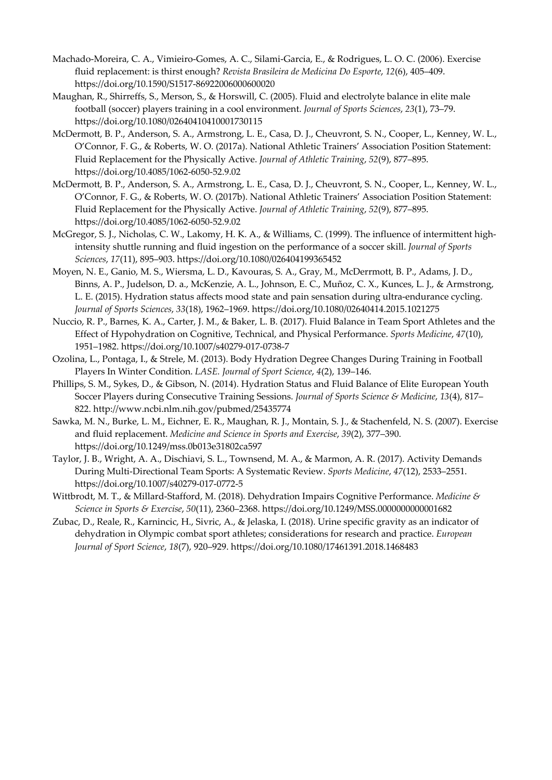- Machado-Moreira, C. A., Vimieiro-Gomes, A. C., Silami-Garcia, E., & Rodrigues, L. O. C. (2006). Exercise fluid replacement: is thirst enough? *Revista Brasileira de Medicina Do Esporte*, *12*(6), 405–409. https://doi.org/10.1590/S1517-86922006000600020
- Maughan, R., Shirreffs, S., Merson, S., & Horswill, C. (2005). Fluid and electrolyte balance in elite male football (soccer) players training in a cool environment. *Journal of Sports Sciences*, *23*(1), 73–79. https://doi.org/10.1080/02640410410001730115
- McDermott, B. P., Anderson, S. A., Armstrong, L. E., Casa, D. J., Cheuvront, S. N., Cooper, L., Kenney, W. L., O'Connor, F. G., & Roberts, W. O. (2017a). National Athletic Trainers' Association Position Statement: Fluid Replacement for the Physically Active. *Journal of Athletic Training*, *52*(9), 877–895. https://doi.org/10.4085/1062-6050-52.9.02
- McDermott, B. P., Anderson, S. A., Armstrong, L. E., Casa, D. J., Cheuvront, S. N., Cooper, L., Kenney, W. L., O'Connor, F. G., & Roberts, W. O. (2017b). National Athletic Trainers' Association Position Statement: Fluid Replacement for the Physically Active. *Journal of Athletic Training*, *52*(9), 877–895. https://doi.org/10.4085/1062-6050-52.9.02
- McGregor, S. J., Nicholas, C. W., Lakomy, H. K. A., & Williams, C. (1999). The influence of intermittent highintensity shuttle running and fluid ingestion on the performance of a soccer skill. *Journal of Sports Sciences*, *17*(11), 895–903. https://doi.org/10.1080/026404199365452
- Moyen, N. E., Ganio, M. S., Wiersma, L. D., Kavouras, S. A., Gray, M., McDerrmott, B. P., Adams, J. D., Binns, A. P., Judelson, D. a., McKenzie, A. L., Johnson, E. C., Muñoz, C. X., Kunces, L. J., & Armstrong, L. E. (2015). Hydration status affects mood state and pain sensation during ultra-endurance cycling. *Journal of Sports Sciences*, *33*(18), 1962–1969. https://doi.org/10.1080/02640414.2015.1021275
- Nuccio, R. P., Barnes, K. A., Carter, J. M., & Baker, L. B. (2017). Fluid Balance in Team Sport Athletes and the Effect of Hypohydration on Cognitive, Technical, and Physical Performance. *Sports Medicine*, *47*(10), 1951–1982. https://doi.org/10.1007/s40279-017-0738-7
- Ozolina, L., Pontaga, I., & Strele, M. (2013). Body Hydration Degree Changes During Training in Football Players In Winter Condition. *LASE. Journal of Sport Science*, *4*(2), 139–146.
- Phillips, S. M., Sykes, D., & Gibson, N. (2014). Hydration Status and Fluid Balance of Elite European Youth Soccer Players during Consecutive Training Sessions. *Journal of Sports Science & Medicine*, *13*(4), 817– 822. http://www.ncbi.nlm.nih.gov/pubmed/25435774
- Sawka, M. N., Burke, L. M., Eichner, E. R., Maughan, R. J., Montain, S. J., & Stachenfeld, N. S. (2007). Exercise and fluid replacement. *Medicine and Science in Sports and Exercise*, *39*(2), 377–390. https://doi.org/10.1249/mss.0b013e31802ca597
- Taylor, J. B., Wright, A. A., Dischiavi, S. L., Townsend, M. A., & Marmon, A. R. (2017). Activity Demands During Multi-Directional Team Sports: A Systematic Review. *Sports Medicine*, *47*(12), 2533–2551. https://doi.org/10.1007/s40279-017-0772-5
- Wittbrodt, M. T., & Millard-Stafford, M. (2018). Dehydration Impairs Cognitive Performance. *Medicine & Science in Sports & Exercise*, *50*(11), 2360–2368. https://doi.org/10.1249/MSS.0000000000001682
- Zubac, D., Reale, R., Karnincic, H., Sivric, A., & Jelaska, I. (2018). Urine specific gravity as an indicator of dehydration in Olympic combat sport athletes; considerations for research and practice. *European Journal of Sport Science*, *18*(7), 920–929. https://doi.org/10.1080/17461391.2018.1468483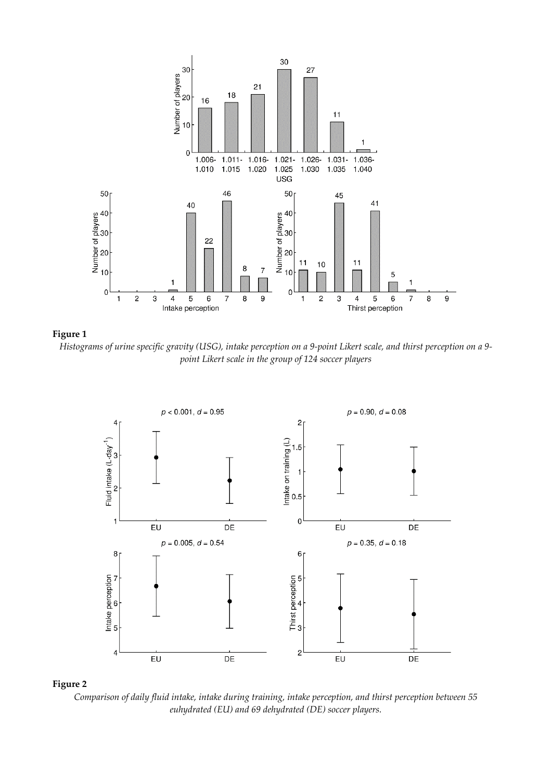



*Histograms of urine specific gravity (USG), intake perception on a 9-point Likert scale, and thirst perception on a 9 point Likert scale in the group of 124 soccer players* 





*Comparison of daily fluid intake, intake during training, intake perception, and thirst perception between 55 euhydrated (EU) and 69 dehydrated (DE) soccer players.*